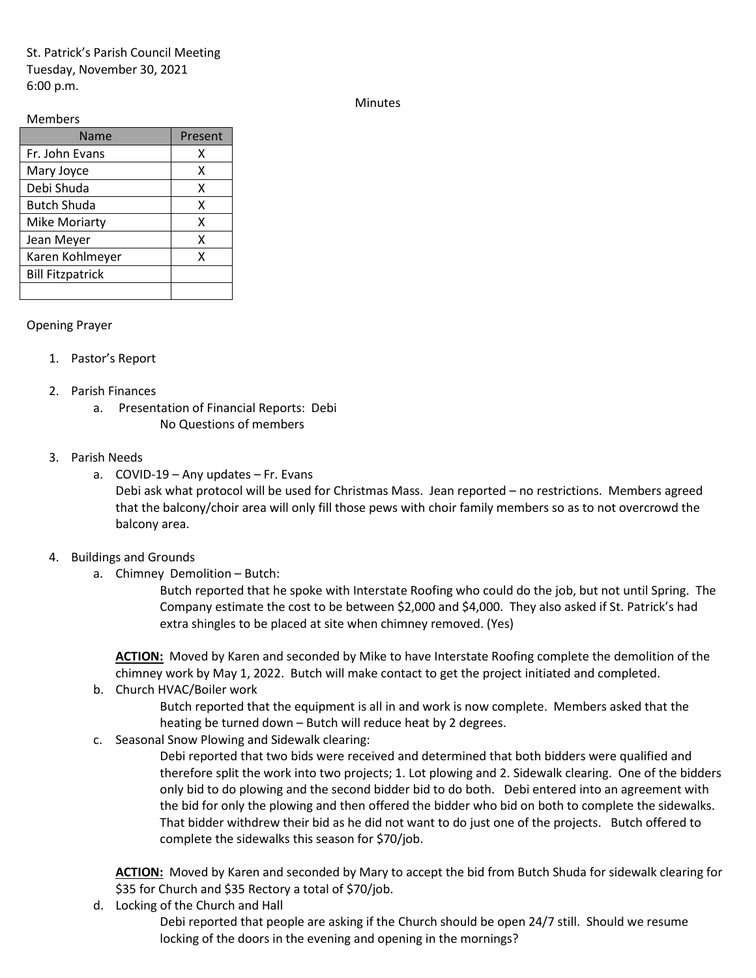St. Patrick's Parish Council Meeting Tuesday, November 30, 2021 6:00 p.m.

Minutes

## Members

| Name                    | Present |
|-------------------------|---------|
| Fr. John Evans          | χ       |
| Mary Joyce              | χ       |
| Debi Shuda              | x       |
| <b>Butch Shuda</b>      | x       |
| <b>Mike Moriarty</b>    | x       |
| Jean Meyer              | x       |
| Karen Kohlmeyer         | x       |
| <b>Bill Fitzpatrick</b> |         |
|                         |         |

## Opening Prayer

- 1. Pastor's Report
- 2. Parish Finances
	- a. Presentation of Financial Reports: Debi No Questions of members
- 3. Parish Needs
	- a. COVID-19 Any updates Fr. Evans

Debi ask what protocol will be used for Christmas Mass. Jean reported – no restrictions. Members agreed that the balcony/choir area will only fill those pews with choir family members so as to not overcrowd the balcony area.

- 4. Buildings and Grounds
	- a. Chimney Demolition Butch:

Butch reported that he spoke with Interstate Roofing who could do the job, but not until Spring. The Company estimate the cost to be between \$2,000 and \$4,000. They also asked if St. Patrick's had extra shingles to be placed at site when chimney removed. (Yes)

**ACTION:** Moved by Karen and seconded by Mike to have Interstate Roofing complete the demolition of the chimney work by May 1, 2022. Butch will make contact to get the project initiated and completed.

b. Church HVAC/Boiler work

Butch reported that the equipment is all in and work is now complete. Members asked that the heating be turned down – Butch will reduce heat by 2 degrees.

c. Seasonal Snow Plowing and Sidewalk clearing:

Debi reported that two bids were received and determined that both bidders were qualified and therefore split the work into two projects; 1. Lot plowing and 2. Sidewalk clearing. One of the bidders only bid to do plowing and the second bidder bid to do both. Debi entered into an agreement with the bid for only the plowing and then offered the bidder who bid on both to complete the sidewalks. That bidder withdrew their bid as he did not want to do just one of the projects. Butch offered to complete the sidewalks this season for \$70/job.

**ACTION:** Moved by Karen and seconded by Mary to accept the bid from Butch Shuda for sidewalk clearing for \$35 for Church and \$35 Rectory a total of \$70/job.

d. Locking of the Church and Hall

Debi reported that people are asking if the Church should be open 24/7 still. Should we resume locking of the doors in the evening and opening in the mornings?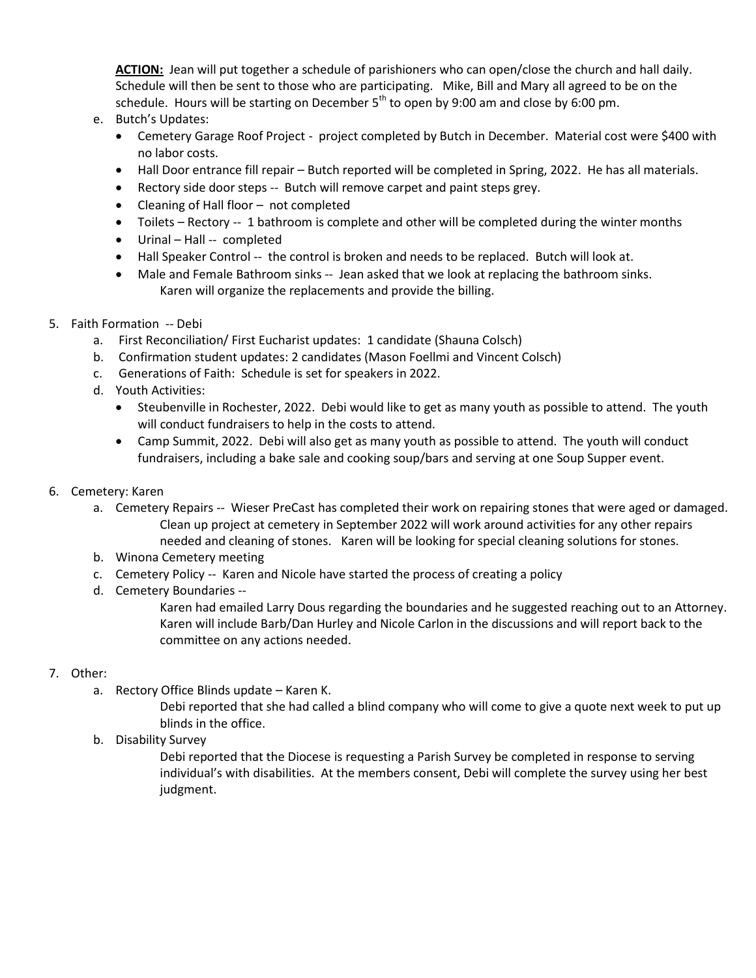**ACTION:** Jean will put together a schedule of parishioners who can open/close the church and hall daily. Schedule will then be sent to those who are participating. Mike, Bill and Mary all agreed to be on the schedule. Hours will be starting on December  $5<sup>th</sup>$  to open by 9:00 am and close by 6:00 pm.

- e. Butch's Updates:
	- Cemetery Garage Roof Project project completed by Butch in December. Material cost were \$400 with no labor costs.
	- Hall Door entrance fill repair Butch reported will be completed in Spring, 2022. He has all materials.
	- Rectory side door steps -- Butch will remove carpet and paint steps grey.
	- Cleaning of Hall floor not completed
	- Toilets Rectory -- 1 bathroom is complete and other will be completed during the winter months
	- Urinal Hall -- completed
	- Hall Speaker Control -- the control is broken and needs to be replaced. Butch will look at.
	- Male and Female Bathroom sinks -- Jean asked that we look at replacing the bathroom sinks. Karen will organize the replacements and provide the billing.
- 5. Faith Formation -- Debi
	- a. First Reconciliation/ First Eucharist updates: 1 candidate (Shauna Colsch)
	- b. Confirmation student updates: 2 candidates (Mason Foellmi and Vincent Colsch)
	- c. Generations of Faith: Schedule is set for speakers in 2022.
	- d. Youth Activities:
		- Steubenville in Rochester, 2022. Debi would like to get as many youth as possible to attend. The youth will conduct fundraisers to help in the costs to attend.
		- Camp Summit, 2022. Debi will also get as many youth as possible to attend. The youth will conduct fundraisers, including a bake sale and cooking soup/bars and serving at one Soup Supper event.
- 6. Cemetery: Karen
	- a. Cemetery Repairs -- Wieser PreCast has completed their work on repairing stones that were aged or damaged. Clean up project at cemetery in September 2022 will work around activities for any other repairs needed and cleaning of stones. Karen will be looking for special cleaning solutions for stones.
	- b. Winona Cemetery meeting
	- c. Cemetery Policy -- Karen and Nicole have started the process of creating a policy
	- d. Cemetery Boundaries --
		- Karen had emailed Larry Dous regarding the boundaries and he suggested reaching out to an Attorney. Karen will include Barb/Dan Hurley and Nicole Carlon in the discussions and will report back to the committee on any actions needed.

## 7. Other:

a. Rectory Office Blinds update – Karen K.

Debi reported that she had called a blind company who will come to give a quote next week to put up blinds in the office.

b. Disability Survey

Debi reported that the Diocese is requesting a Parish Survey be completed in response to serving individual's with disabilities. At the members consent, Debi will complete the survey using her best judgment.